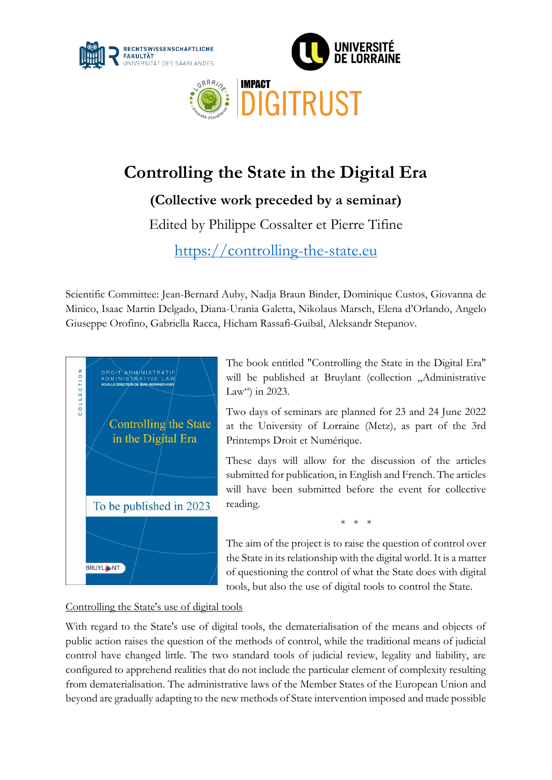



# **Controlling the State in the Digital Era**

**(Collective work preceded by a seminar)**

Edited by Philippe Cossalter et Pierre Tifine

[https://controlling-the-state.eu](https://controlling-the-state.eu/) 

Scientific Committee: Jean-Bernard Auby, Nadja Braun Binder, Dominique Custos, Giovanna de Minico, Isaac Martin Delgado, Diana-Urania Galetta, Nikolaus Marsch, Elena d'Orlando, Angelo Giuseppe Orofino, Gabriella Racca, Hicham Rassafi-Guibal, Aleksandr Stepanov.



The book entitled "Controlling the State in the Digital Era" will be published at Bruylant (collection "Administrative Law") in 2023.

Two days of seminars are planned for 23 and 24 June 2022 at the University of Lorraine (Metz), as part of the 3rd Printemps Droit et Numérique.

These days will allow for the discussion of the articles submitted for publication, in English and French. The articles will have been submitted before the event for collective reading.

\* \* \*

The aim of the project is to raise the question of control over the State in its relationship with the digital world. It is a matter of questioning the control of what the State does with digital tools, but also the use of digital tools to control the State.

Controlling the State's use of digital tools

With regard to the State's use of digital tools, the dematerialisation of the means and objects of public action raises the question of the methods of control, while the traditional means of judicial control have changed little. The two standard tools of judicial review, legality and liability, are configured to apprehend realities that do not include the particular element of complexity resulting from dematerialisation. The administrative laws of the Member States of the European Union and beyond are gradually adapting to the new methods of State intervention imposed and made possible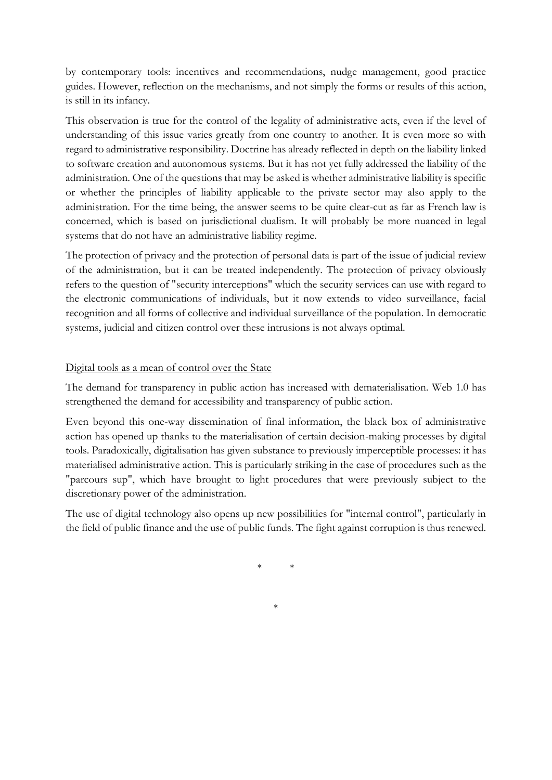by contemporary tools: incentives and recommendations, nudge management, good practice guides. However, reflection on the mechanisms, and not simply the forms or results of this action, is still in its infancy.

This observation is true for the control of the legality of administrative acts, even if the level of understanding of this issue varies greatly from one country to another. It is even more so with regard to administrative responsibility. Doctrine has already reflected in depth on the liability linked to software creation and autonomous systems. But it has not yet fully addressed the liability of the administration. One of the questions that may be asked is whether administrative liability is specific or whether the principles of liability applicable to the private sector may also apply to the administration. For the time being, the answer seems to be quite clear-cut as far as French law is concerned, which is based on jurisdictional dualism. It will probably be more nuanced in legal systems that do not have an administrative liability regime.

The protection of privacy and the protection of personal data is part of the issue of judicial review of the administration, but it can be treated independently. The protection of privacy obviously refers to the question of "security interceptions" which the security services can use with regard to the electronic communications of individuals, but it now extends to video surveillance, facial recognition and all forms of collective and individual surveillance of the population. In democratic systems, judicial and citizen control over these intrusions is not always optimal.

### Digital tools as a mean of control over the State

The demand for transparency in public action has increased with dematerialisation. Web 1.0 has strengthened the demand for accessibility and transparency of public action.

Even beyond this one-way dissemination of final information, the black box of administrative action has opened up thanks to the materialisation of certain decision-making processes by digital tools. Paradoxically, digitalisation has given substance to previously imperceptible processes: it has materialised administrative action. This is particularly striking in the case of procedures such as the "parcours sup", which have brought to light procedures that were previously subject to the discretionary power of the administration.

The use of digital technology also opens up new possibilities for "internal control", particularly in the field of public finance and the use of public funds. The fight against corruption is thus renewed.

\* \*

\*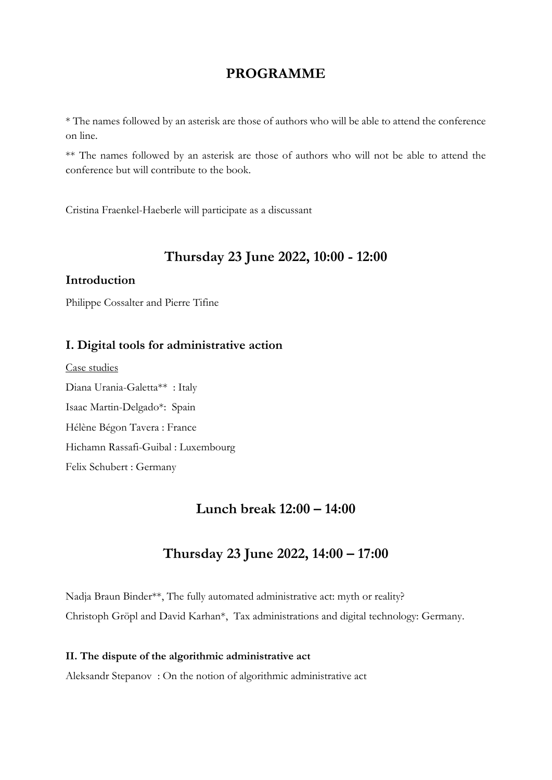### **PROGRAMME**

\* The names followed by an asterisk are those of authors who will be able to attend the conference on line.

\*\* The names followed by an asterisk are those of authors who will not be able to attend the conference but will contribute to the book.

Cristina Fraenkel-Haeberle will participate as a discussant

### **Thursday 23 June 2022, 10:00 - 12:00**

### **Introduction**

Philippe Cossalter and Pierre Tifine

### **I. Digital tools for administrative action**

Case studies Diana Urania-Galetta\*\* : Italy Isaac Martin-Delgado\*: Spain Hélène Bégon Tavera : France Hichamn Rassafi-Guibal : Luxembourg Felix Schubert : Germany

### **Lunch break 12:00 – 14:00**

## **Thursday 23 June 2022, 14:00 – 17:00**

Nadja Braun Binder\*\*, The fully automated administrative act: myth or reality? Christoph Gröpl and David Karhan\*, Tax administrations and digital technology: Germany.

#### **II. The dispute of the algorithmic administrative act**

Aleksandr Stepanov : On the notion of algorithmic administrative act